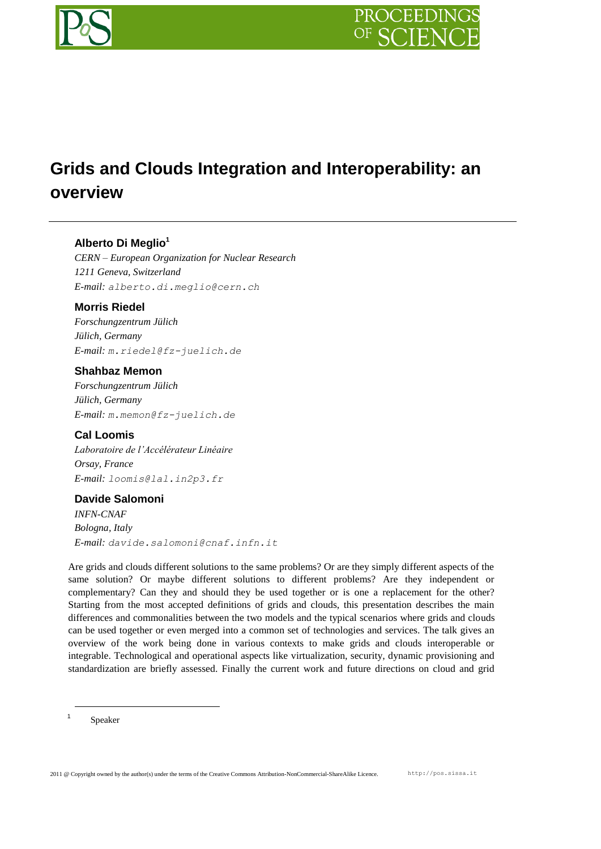# **Grids and Clouds Integration and Interoperability: an overview**

# **Alberto Di Meglio<sup>1</sup>**

*CERN – European Organization for Nuclear Research 1211 Geneva, Switzerland E-mail: alberto.di.meglio@cern.ch*

# **Morris Riedel**

*Forschungzentrum Jülich Jülich, Germany E-mail: m.riedel@fz-juelich.de*

# **Shahbaz Memon**

*Forschungzentrum Jülich Jülich, Germany E-mail: m.memon@fz-juelich.de*

**Cal Loomis** *Laboratoire de l'Accélérateur Linéaire Orsay, France E-mail: loomis@lal.in2p3.fr*

# **Davide Salomoni**

*INFN-CNAF Bologna, Italy E-mail: davide.salomoni@cnaf.infn.it*

Are grids and clouds different solutions to the same problems? Or are they simply different aspects of the same solution? Or maybe different solutions to different problems? Are they independent or complementary? Can they and should they be used together or is one a replacement for the other? Starting from the most accepted definitions of grids and clouds, this presentation describes the main differences and commonalities between the two models and the typical scenarios where grids and clouds can be used together or even merged into a common set of technologies and services. The talk gives an overview of the work being done in various contexts to make grids and clouds interoperable or integrable. Technological and operational aspects like virtualization, security, dynamic provisioning and standardization are briefly assessed. Finally the current work and future directions on cloud and grid

1 Speaker

1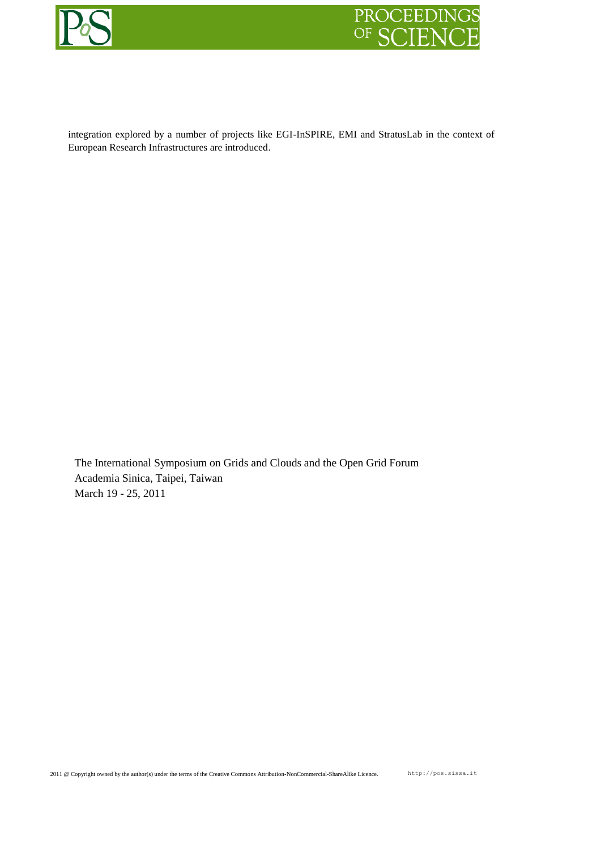



integration explored by a number of projects like EGI-InSPIRE, EMI and StratusLab in the context of European Research Infrastructures are introduced.

The International Symposium on Grids and Clouds and the Open Grid Forum Academia Sinica, Taipei, Taiwan March 19 - 25, 2011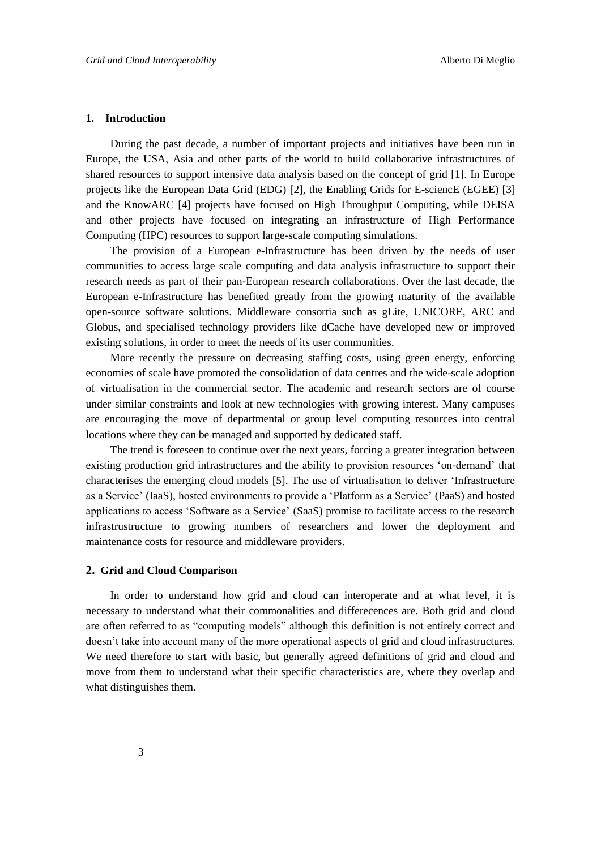#### **1. Introduction**

During the past decade, a number of important projects and initiatives have been run in Europe, the USA, Asia and other parts of the world to build collaborative infrastructures of shared resources to support intensive data analysis based on the concept of grid [\[1\].](#page-11-0) In Europe projects like the European Data Grid (EDG) [\[2\],](#page-11-1) the Enabling Grids for E-sciencE (EGEE) [\[3\]](#page-11-2) and the KnowARC [\[4\]](#page-11-3) projects have focused on High Throughput Computing, while DEISA and other projects have focused on integrating an infrastructure of High Performance Computing (HPC) resources to support large-scale computing simulations.

The provision of a European e-Infrastructure has been driven by the needs of user communities to access large scale computing and data analysis infrastructure to support their research needs as part of their pan-European research collaborations. Over the last decade, the European e-Infrastructure has benefited greatly from the growing maturity of the available open-source software solutions. Middleware consortia such as gLite, UNICORE, ARC and Globus, and specialised technology providers like dCache have developed new or improved existing solutions, in order to meet the needs of its user communities.

More recently the pressure on decreasing staffing costs, using green energy, enforcing economies of scale have promoted the consolidation of data centres and the wide-scale adoption of virtualisation in the commercial sector. The academic and research sectors are of course under similar constraints and look at new technologies with growing interest. Many campuses are encouraging the move of departmental or group level computing resources into central locations where they can be managed and supported by dedicated staff.

The trend is foreseen to continue over the next years, forcing a greater integration between existing production grid infrastructures and the ability to provision resources "on-demand" that characterises the emerging cloud models [\[5\].](#page-11-4) The use of virtualisation to deliver "Infrastructure as a Service" (IaaS), hosted environments to provide a "Platform as a Service" (PaaS) and hosted applications to access "Software as a Service" (SaaS) promise to facilitate access to the research infrastrustructure to growing numbers of researchers and lower the deployment and maintenance costs for resource and middleware providers.

### **2. Grid and Cloud Comparison**

In order to understand how grid and cloud can interoperate and at what level, it is necessary to understand what their commonalities and differecences are. Both grid and cloud are often referred to as "computing models" although this definition is not entirely correct and doesn"t take into account many of the more operational aspects of grid and cloud infrastructures. We need therefore to start with basic, but generally agreed definitions of grid and cloud and move from them to understand what their specific characteristics are, where they overlap and what distinguishes them.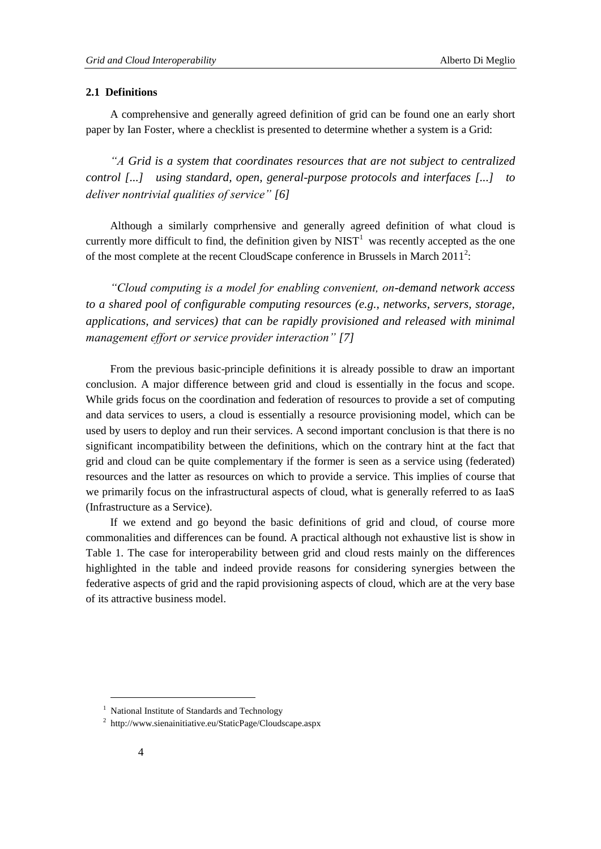#### **2.1 Definitions**

A comprehensive and generally agreed definition of grid can be found one an early short paper by Ian Foster, where a checklist is presented to determine whether a system is a Grid:

*"A Grid is a system that coordinates resources that are not subject to centralized control [...] using standard, open, general-purpose protocols and interfaces [...] to deliver nontrivial qualities of service" [\[6\]](#page-11-5)*

Although a similarly comprhensive and generally agreed definition of what cloud is currently more difficult to find, the definition given by  $NIST<sup>1</sup>$  was recently accepted as the one of the most complete at the recent CloudScape conference in Brussels in March  $2011^2$ :

*"Cloud computing is a model for enabling convenient, on-demand network access to a shared pool of configurable computing resources (e.g., networks, servers, storage, applications, and services) that can be rapidly provisioned and released with minimal management effort or service provider interaction" [\[7\]](#page-11-6)*

From the previous basic-principle definitions it is already possible to draw an important conclusion. A major difference between grid and cloud is essentially in the focus and scope. While grids focus on the coordination and federation of resources to provide a set of computing and data services to users, a cloud is essentially a resource provisioning model, which can be used by users to deploy and run their services. A second important conclusion is that there is no significant incompatibility between the definitions, which on the contrary hint at the fact that grid and cloud can be quite complementary if the former is seen as a service using (federated) resources and the latter as resources on which to provide a service. This implies of course that we primarily focus on the infrastructural aspects of cloud, what is generally referred to as IaaS (Infrastructure as a Service).

If we extend and go beyond the basic definitions of grid and cloud, of course more commonalities and differences can be found. A practical although not exhaustive list is show in [Table 1.](#page-4-0) The case for interoperability between grid and cloud rests mainly on the differences highlighted in the table and indeed provide reasons for considering synergies between the federative aspects of grid and the rapid provisioning aspects of cloud, which are at the very base of its attractive business model.

l

<sup>&</sup>lt;sup>1</sup> National Institute of Standards and Technology

<sup>&</sup>lt;sup>2</sup> http://www.sienainitiative.eu/StaticPage/Cloudscape.aspx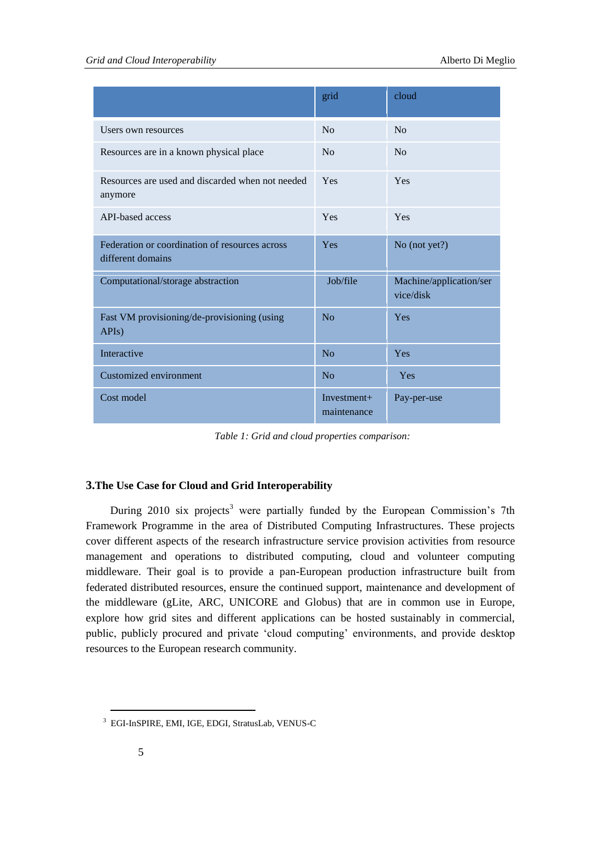|                                                                     | grid                         | cloud                                |
|---------------------------------------------------------------------|------------------------------|--------------------------------------|
| Users own resources                                                 | N <sub>o</sub>               | N <sub>o</sub>                       |
| Resources are in a known physical place                             | No                           | No                                   |
| Resources are used and discarded when not needed<br>anymore         | Yes                          | Yes                                  |
| API-based access                                                    | Yes                          | Yes                                  |
| Federation or coordination of resources across<br>different domains | Yes                          | No (not yet?)                        |
| Computational/storage abstraction                                   | Job/file                     | Machine/application/ser<br>vice/disk |
| Fast VM provisioning/de-provisioning (using<br>APIs)                | No                           | Yes                                  |
| Interactive                                                         | No                           | Yes                                  |
| Customized environment                                              | N <sub>o</sub>               | Yes                                  |
| Cost model                                                          | $Investment+$<br>maintenance | Pay-per-use                          |

*Table 1: Grid and cloud properties comparison:*

# <span id="page-4-0"></span>**3.The Use Case for Cloud and Grid Interoperability**

During  $2010$  six projects<sup>3</sup> were partially funded by the European Commission's 7th Framework Programme in the area of Distributed Computing Infrastructures. These projects cover different aspects of the research infrastructure service provision activities from resource management and operations to distributed computing, cloud and volunteer computing middleware. Their goal is to provide a pan-European production infrastructure built from federated distributed resources, ensure the continued support, maintenance and development of the middleware (gLite, ARC, UNICORE and Globus) that are in common use in Europe, explore how grid sites and different applications can be hosted sustainably in commercial, public, publicly procured and private "cloud computing" environments, and provide desktop resources to the European research community.

 $\overline{a}$ 

<sup>3</sup> EGI-InSPIRE, EMI, IGE, EDGI, StratusLab, VENUS-C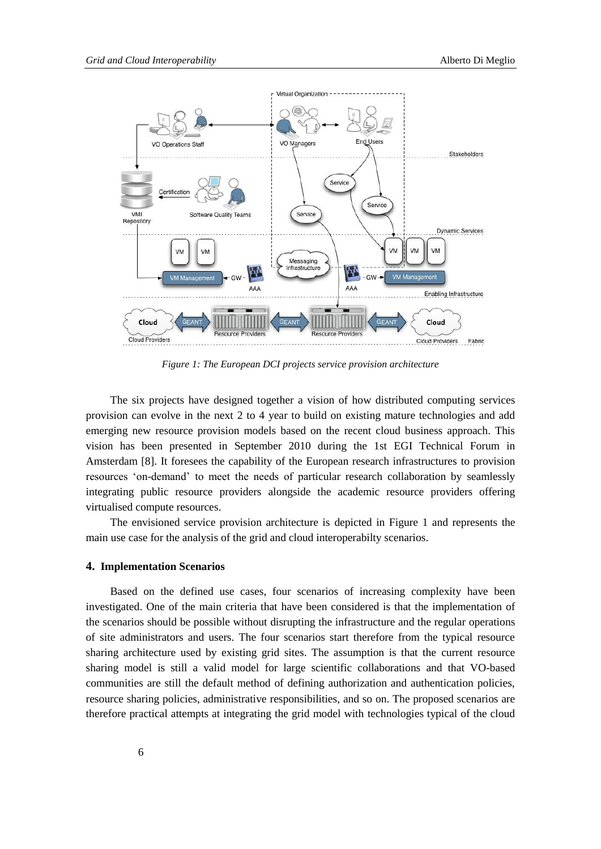

*Figure 1: The European DCI projects service provision architecture*

<span id="page-5-0"></span>The six projects have designed together a vision of how distributed computing services provision can evolve in the next 2 to 4 year to build on existing mature technologies and add emerging new resource provision models based on the recent cloud business approach. This vision has been presented in September 2010 during the 1st EGI Technical Forum in Amsterdam [\[8\].](#page-11-7) It foresees the capability of the European research infrastructures to provision resources "on-demand" to meet the needs of particular research collaboration by seamlessly integrating public resource providers alongside the academic resource providers offering virtualised compute resources.

The envisioned service provision architecture is depicted in [Figure 1](#page-5-0) and represents the main use case for the analysis of the grid and cloud interoperabilty scenarios.

#### **4. Implementation Scenarios**

Based on the defined use cases, four scenarios of increasing complexity have been investigated. One of the main criteria that have been considered is that the implementation of the scenarios should be possible without disrupting the infrastructure and the regular operations of site administrators and users. The four scenarios start therefore from the typical resource sharing architecture used by existing grid sites. The assumption is that the current resource sharing model is still a valid model for large scientific collaborations and that VO-based communities are still the default method of defining authorization and authentication policies, resource sharing policies, administrative responsibilities, and so on. The proposed scenarios are therefore practical attempts at integrating the grid model with technologies typical of the cloud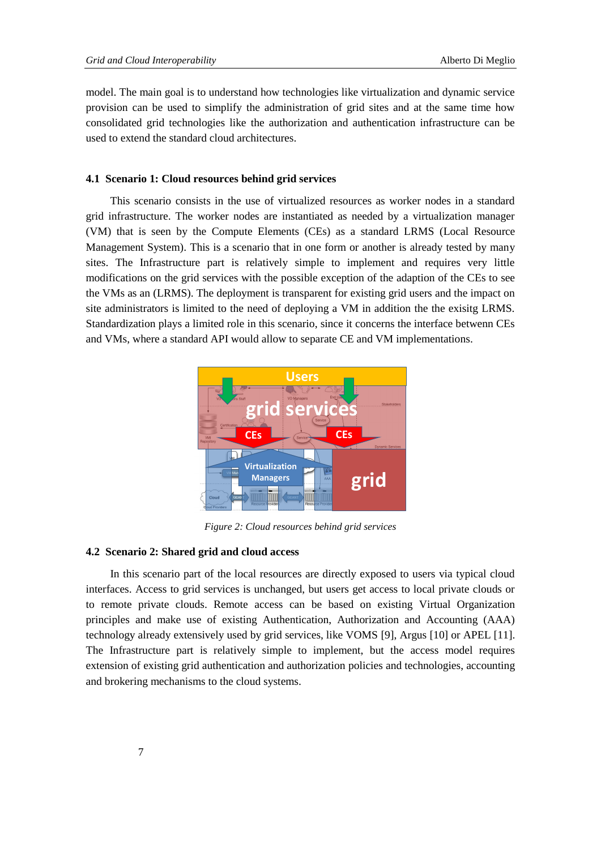model. The main goal is to understand how technologies like virtualization and dynamic service provision can be used to simplify the administration of grid sites and at the same time how consolidated grid technologies like the authorization and authentication infrastructure can be used to extend the standard cloud architectures.

#### **4.1 Scenario 1: Cloud resources behind grid services**

This scenario consists in the use of virtualized resources as worker nodes in a standard grid infrastructure. The worker nodes are instantiated as needed by a virtualization manager (VM) that is seen by the Compute Elements (CEs) as a standard LRMS (Local Resource Management System). This is a scenario that in one form or another is already tested by many sites. The Infrastructure part is relatively simple to implement and requires very little modifications on the grid services with the possible exception of the adaption of the CEs to see the VMs as an (LRMS). The deployment is transparent for existing grid users and the impact on site administrators is limited to the need of deploying a VM in addition the the exisitg LRMS. Standardization plays a limited role in this scenario, since it concerns the interface betwenn CEs and VMs, where a standard API would allow to separate CE and VM implementations.



*Figure 2: Cloud resources behind grid services*

#### **4.2 Scenario 2: Shared grid and cloud access**

In this scenario part of the local resources are directly exposed to users via typical cloud interfaces. Access to grid services is unchanged, but users get access to local private clouds or to remote private clouds. Remote access can be based on existing Virtual Organization principles and make use of existing Authentication, Authorization and Accounting (AAA) technology already extensively used by grid services, like VOMS [9], Argus [10] or APEL [11]. The Infrastructure part is relatively simple to implement, but the access model requires extension of existing grid authentication and authorization policies and technologies, accounting and brokering mechanisms to the cloud systems.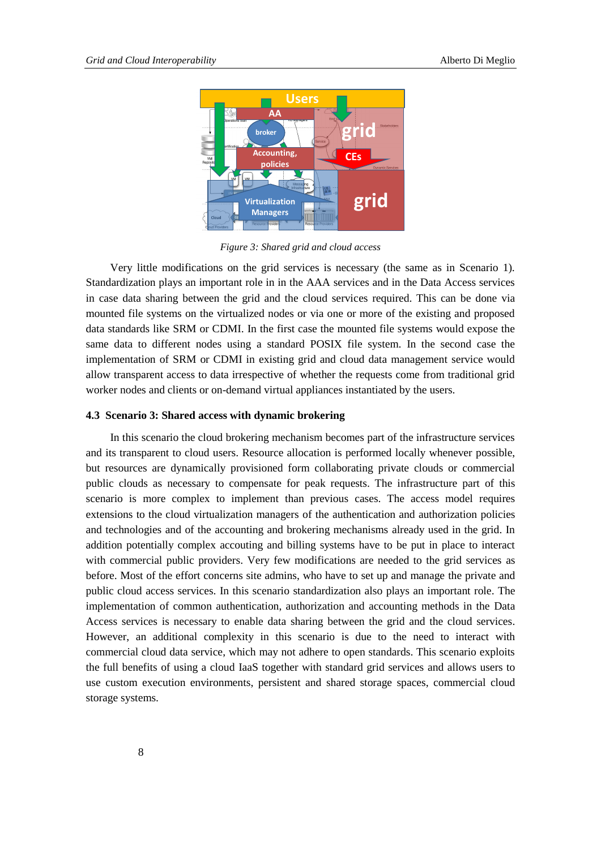

*Figure 3: Shared grid and cloud access*

Very little modifications on the grid services is necessary (the same as in Scenario 1). Standardization plays an important role in in the AAA services and in the Data Access services in case data sharing between the grid and the cloud services required. This can be done via mounted file systems on the virtualized nodes or via one or more of the existing and proposed data standards like SRM or CDMI. In the first case the mounted file systems would expose the same data to different nodes using a standard POSIX file system. In the second case the implementation of SRM or CDMI in existing grid and cloud data management service would allow transparent access to data irrespective of whether the requests come from traditional grid worker nodes and clients or on-demand virtual appliances instantiated by the users.

#### **4.3 Scenario 3: Shared access with dynamic brokering**

In this scenario the cloud brokering mechanism becomes part of the infrastructure services and its transparent to cloud users. Resource allocation is performed locally whenever possible, but resources are dynamically provisioned form collaborating private clouds or commercial public clouds as necessary to compensate for peak requests. The infrastructure part of this scenario is more complex to implement than previous cases. The access model requires extensions to the cloud virtualization managers of the authentication and authorization policies and technologies and of the accounting and brokering mechanisms already used in the grid. In addition potentially complex accouting and billing systems have to be put in place to interact with commercial public providers. Very few modifications are needed to the grid services as before. Most of the effort concerns site admins, who have to set up and manage the private and public cloud access services. In this scenario standardization also plays an important role. The implementation of common authentication, authorization and accounting methods in the Data Access services is necessary to enable data sharing between the grid and the cloud services. However, an additional complexity in this scenario is due to the need to interact with commercial cloud data service, which may not adhere to open standards. This scenario exploits the full benefits of using a cloud IaaS together with standard grid services and allows users to use custom execution environments, persistent and shared storage spaces, commercial cloud storage systems.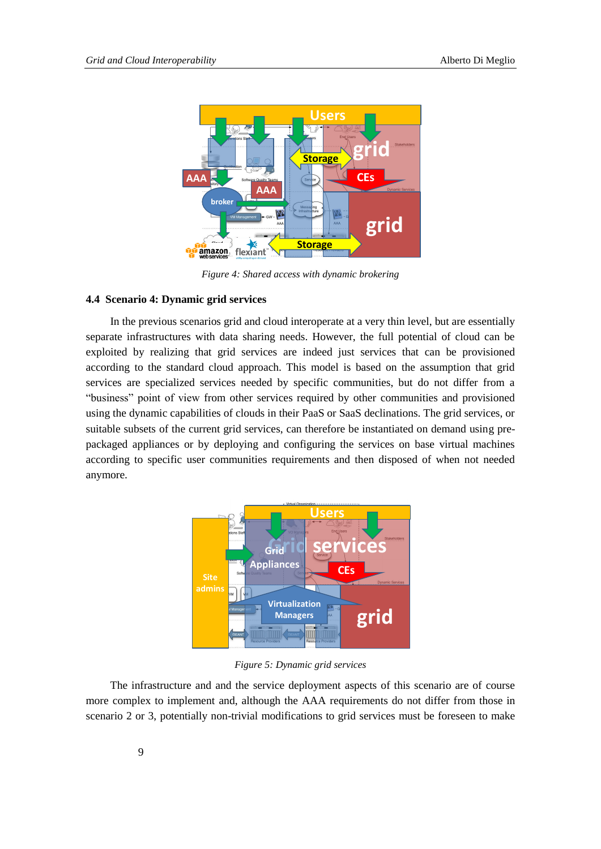

*Figure 4: Shared access with dynamic brokering*

#### **4.4 Scenario 4: Dynamic grid services**

In the previous scenarios grid and cloud interoperate at a very thin level, but are essentially separate infrastructures with data sharing needs. However, the full potential of cloud can be exploited by realizing that grid services are indeed just services that can be provisioned according to the standard cloud approach. This model is based on the assumption that grid services are specialized services needed by specific communities, but do not differ from a "business" point of view from other services required by other communities and provisioned using the dynamic capabilities of clouds in their PaaS or SaaS declinations. The grid services, or suitable subsets of the current grid services, can therefore be instantiated on demand using prepackaged appliances or by deploying and configuring the services on base virtual machines according to specific user communities requirements and then disposed of when not needed anymore.



*Figure 5: Dynamic grid services*

The infrastructure and and the service deployment aspects of this scenario are of course more complex to implement and, although the AAA requirements do not differ from those in scenario 2 or 3, potentially non-trivial modifications to grid services must be foreseen to make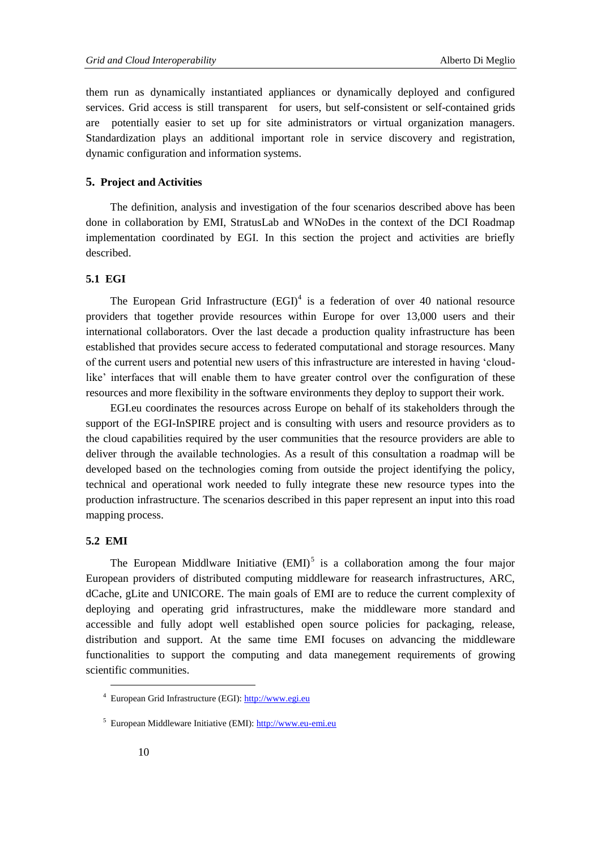them run as dynamically instantiated appliances or dynamically deployed and configured services. Grid access is still transparent for users, but self-consistent or self-contained grids are potentially easier to set up for site administrators or virtual organization managers. Standardization plays an additional important role in service discovery and registration, dynamic configuration and information systems.

### **5. Project and Activities**

The definition, analysis and investigation of the four scenarios described above has been done in collaboration by EMI, StratusLab and WNoDes in the context of the DCI Roadmap implementation coordinated by EGI. In this section the project and activities are briefly described.

#### **5.1 EGI**

The European Grid Infrastructure  $(EGI)^4$  is a federation of over 40 national resource providers that together provide resources within Europe for over 13,000 users and their international collaborators. Over the last decade a production quality infrastructure has been established that provides secure access to federated computational and storage resources. Many of the current users and potential new users of this infrastructure are interested in having "cloudlike' interfaces that will enable them to have greater control over the configuration of these resources and more flexibility in the software environments they deploy to support their work.

EGI.eu coordinates the resources across Europe on behalf of its stakeholders through the support of the EGI-InSPIRE project and is consulting with users and resource providers as to the cloud capabilities required by the user communities that the resource providers are able to deliver through the available technologies. As a result of this consultation a roadmap will be developed based on the technologies coming from outside the project identifying the policy, technical and operational work needed to fully integrate these new resource types into the production infrastructure. The scenarios described in this paper represent an input into this road mapping process.

#### **5.2 EMI**

l

The European Middlware Initiative  $(EMI)^5$  is a collaboration among the four major European providers of distributed computing middleware for reasearch infrastructures, ARC, dCache, gLite and UNICORE. The main goals of EMI are to reduce the current complexity of deploying and operating grid infrastructures, make the middleware more standard and accessible and fully adopt well established open source policies for packaging, release, distribution and support. At the same time EMI focuses on advancing the middleware functionalities to support the computing and data manegement requirements of growing scientific communities.

<sup>4</sup> European Grid Infrastructure (EGI): [http://www.egi.eu](http://www.egi.eu/)

<sup>5</sup> European Middleware Initiative (EMI): [http://www.eu-emi.eu](http://www.eu-emi.eu/)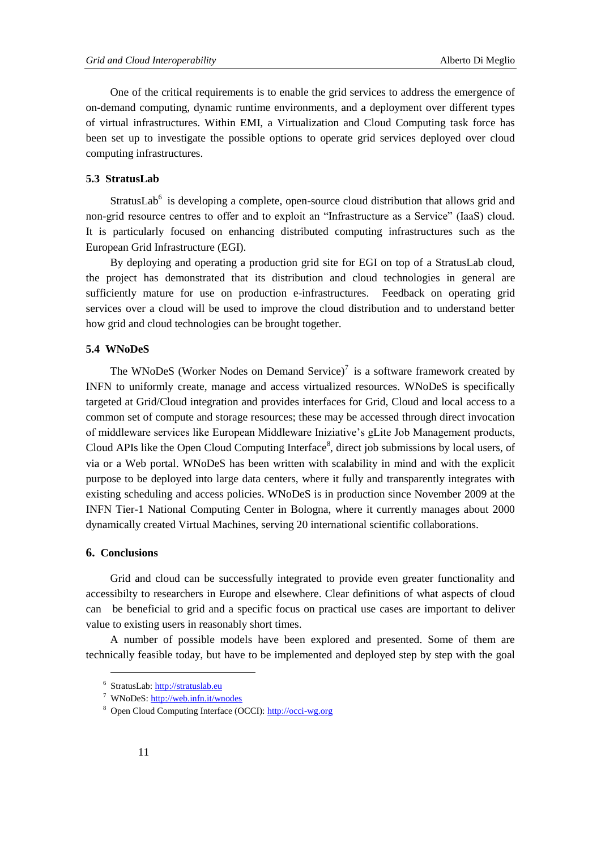One of the critical requirements is to enable the grid services to address the emergence of on-demand computing, dynamic runtime environments, and a deployment over different types of virtual infrastructures. Within EMI, a Virtualization and Cloud Computing task force has been set up to investigate the possible options to operate grid services deployed over cloud computing infrastructures.

#### **5.3 StratusLab**

StratusLab $<sup>6</sup>$  is developing a complete, open-source cloud distribution that allows grid and</sup> non-grid resource centres to offer and to exploit an "Infrastructure as a Service" (IaaS) cloud. It is particularly focused on enhancing distributed computing infrastructures such as the European Grid Infrastructure (EGI).

By deploying and operating a production grid site for EGI on top of a StratusLab cloud, the project has demonstrated that its distribution and cloud technologies in general are sufficiently mature for use on production e-infrastructures. Feedback on operating grid services over a cloud will be used to improve the cloud distribution and to understand better how grid and cloud technologies can be brought together.

#### **5.4 WNoDeS**

The WNoDeS (Worker Nodes on Demand Service) $^7$  is a software framework created by INFN to uniformly create, manage and access virtualized resources. WNoDeS is specifically targeted at Grid/Cloud integration and provides interfaces for Grid, Cloud and local access to a common set of compute and storage resources; these may be accessed through direct invocation of middleware services like European Middleware Iniziative"s gLite Job Management products, Cloud APIs like the Open Cloud Computing Interface<sup>8</sup>, direct job submissions by local users, of via or a Web portal. WNoDeS has been written with scalability in mind and with the explicit purpose to be deployed into large data centers, where it fully and transparently integrates with existing scheduling and access policies. WNoDeS is in production since November 2009 at the INFN Tier-1 National Computing Center in Bologna, where it currently manages about 2000 dynamically created Virtual Machines, serving 20 international scientific collaborations.

### **6. Conclusions**

l

Grid and cloud can be successfully integrated to provide even greater functionality and accessibilty to researchers in Europe and elsewhere. Clear definitions of what aspects of cloud can be beneficial to grid and a specific focus on practical use cases are important to deliver value to existing users in reasonably short times.

A number of possible models have been explored and presented. Some of them are technically feasible today, but have to be implemented and deployed step by step with the goal

<sup>&</sup>lt;sup>6</sup> StratusLab[: http://stratuslab.eu](http://stratuslab.eu/)

<sup>7</sup> WNoDeS[: http://web.infn.it/wnodes](http://web.infn.it/wnodes)

<sup>8</sup> Open Cloud Computing Interface (OCCI): [http://occi-wg.org](http://occi-wg.org/)